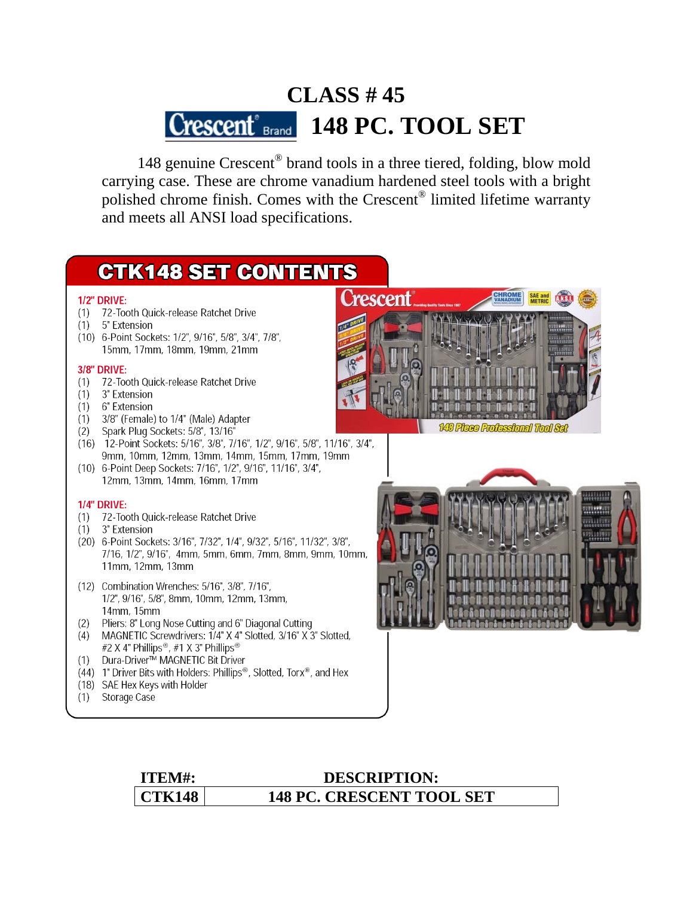# **CLASS # 45 Crescent**<sup>®</sup> Brand **148 PC. TOOL SET**

 148 genuine Crescent® brand tools in a three tiered, folding, blow mold carrying case. These are chrome vanadium hardened steel tools with a bright polished chrome finish. Comes with the Crescent® limited lifetime warranty and meets all ANSI load specifications.

# **CTK148 SET CONTENTS**

#### **1/2" DRIVE:**

- (1) 72-Tooth Quick-release Ratchet Drive
- (1) 5" Extension
- (10) 6-Point Sockets: 1/2", 9/16", 5/8", 3/4", 7/8", 15mm, 17mm, 18mm, 19mm, 21mm

#### **3/8" DRIVE:**

- (1) 72-Tooth Quick-release Ratchet Drive
- (1) 3" Extension
- (1) 6" Extension
- (1) 3/8" (Female) to 1/4" (Male) Adapter
- 
- (2) Spark Plug Sockets: 5/8", 13/16"<br>(16) 12-Point Sockets: 5/16", 3/8", 7/16", 1/2", 9/16", 5/8", 11/16", 3/4", 9mm, 10mm, 12mm, 13mm, 14mm, 15mm, 17mm, 19mm (10) 6-Point Deep Sockets: 7/16", 1/2", 9/16", 11/16", 3/4",
- 12mm, 13mm, 14mm, 16mm, 17mm

#### **1/4" DRIVE:**

- (1) 72-Tooth Quick-release Ratchet Drive
- (1) 3" Extension
- (20) 6-Point Sockets: 3/16", 7/32", 1/4", 9/32", 5/16", 11/32", 3/8", 7/16, 1/2", 9/16", 4mm, 5mm, 6mm, 7mm, 8mm, 9mm, 10mm, 11mm, 12mm, 13mm
- (12) Combination Wrenches: 5/16", 3/8", 7/16", 1/2", 9/16", 5/8", 8mm, 10mm, 12mm, 13mm, 14mm, 15mm
- (2) Pliers: 8" Long Nose Cutting and 6" Diagonal Cutting
- (4) MAGNETIC Screwdrivers: 1/4" X 4" Slotted, 3/16" X 3" Slotted, #2 X 4" Phillips®, #1 X 3" Phillips®
- (1) Dura-Driver™ MAGNETIC Bit Driver
- (44) 1" Driver Bits with Holders: Phillips®, Slotted, Torx®, and Hex
- (18) SAE Hex Keys with Holder
- (1) Storage Case





## **ITEM#: DESCRIPTION: CTK148 148 PC. CRESCENT TOOL SET**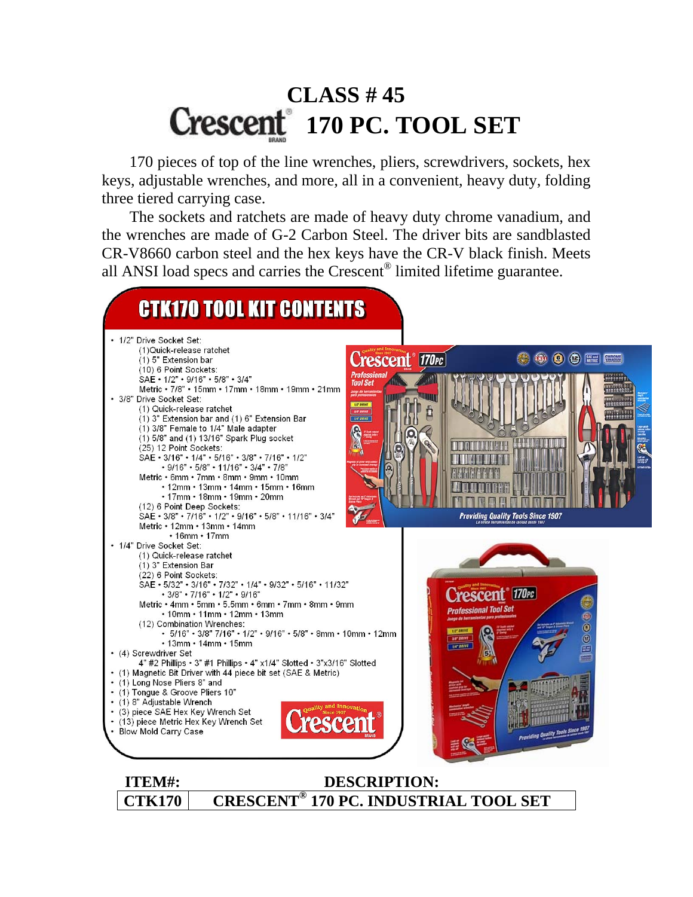# **CLASS # 45 170 PC. TOOL SET**

 170 pieces of top of the line wrenches, pliers, screwdrivers, sockets, hex keys, adjustable wrenches, and more, all in a convenient, heavy duty, folding three tiered carrying case.

 The sockets and ratchets are made of heavy duty chrome vanadium, and the wrenches are made of G-2 Carbon Steel. The driver bits are sandblasted CR-V8660 carbon steel and the hex keys have the CR-V black finish. Meets all ANSI load specs and carries the Crescent® limited lifetime guarantee.

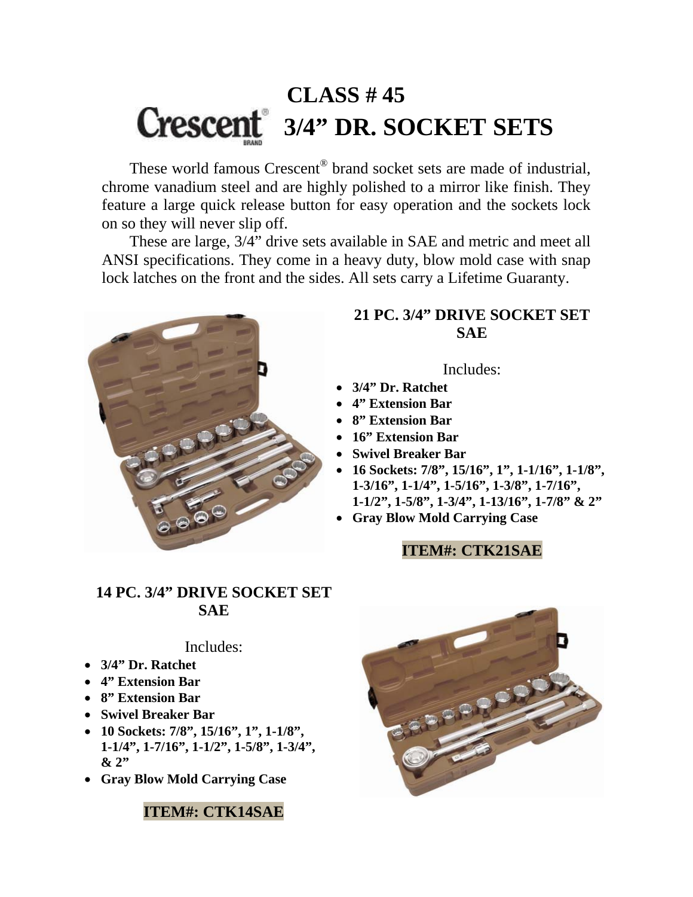# **CLASS # 45 3/4" DR. SOCKET SETS**

 These world famous Crescent® brand socket sets are made of industrial, chrome vanadium steel and are highly polished to a mirror like finish. They feature a large quick release button for easy operation and the sockets lock on so they will never slip off.

 These are large, 3/4" drive sets available in SAE and metric and meet all ANSI specifications. They come in a heavy duty, blow mold case with snap lock latches on the front and the sides. All sets carry a Lifetime Guaranty.



### **21 PC. 3/4" DRIVE SOCKET SET SAE**

Includes:

- **3/4" Dr. Ratchet**
- **4" Extension Bar**
- **8" Extension Bar**
- **16" Extension Bar**
- **Swivel Breaker Bar**
- **16 Sockets: 7/8", 15/16", 1", 1-1/16", 1-1/8", 1-3/16", 1-1/4", 1-5/16", 1-3/8", 1-7/16", 1-1/2", 1-5/8", 1-3/4", 1-13/16", 1-7/8" & 2"**
- **Gray Blow Mold Carrying Case**

### **ITEM#: CTK21SAE**

### **14 PC. 3/4" DRIVE SOCKET SET SAE**

#### Includes:

- **3/4" Dr. Ratchet**
- **4" Extension Bar**
- **8" Extension Bar**
- **Swivel Breaker Bar**
- **10 Sockets: 7/8", 15/16", 1", 1-1/8", 1-1/4", 1-7/16", 1-1/2", 1-5/8", 1-3/4", & 2"**
- **Gray Blow Mold Carrying Case**

### **ITEM#: CTK14SAE**

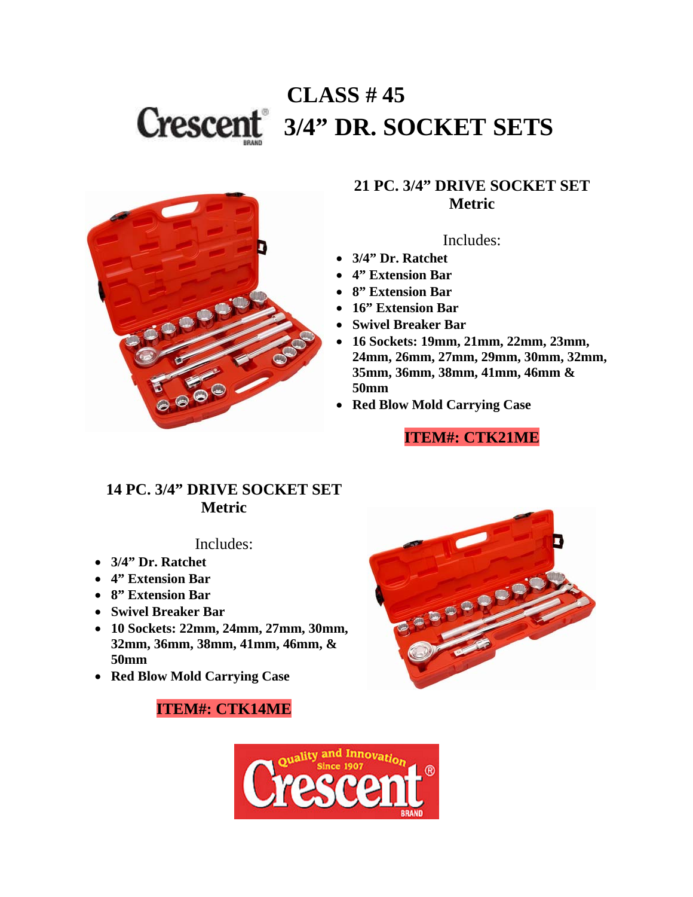# **CLASS # 45 3/4" DR. SOCKET SETS**



### **21 PC. 3/4" DRIVE SOCKET SET Metric**

Includes:

- **3/4" Dr. Ratchet**
- **4" Extension Bar**
- **8" Extension Bar**
- **16" Extension Bar**
- **Swivel Breaker Bar**
- **16 Sockets: 19mm, 21mm, 22mm, 23mm, 24mm, 26mm, 27mm, 29mm, 30mm, 32mm, 35mm, 36mm, 38mm, 41mm, 46mm & 50mm**
- **Red Blow Mold Carrying Case**

### **ITEM#: CTK21ME**

### **14 PC. 3/4" DRIVE SOCKET SET Metric**

### Includes:

- **3/4" Dr. Ratchet**
- **4" Extension Bar**
- **8" Extension Bar**
- **Swivel Breaker Bar**
- **10 Sockets: 22mm, 24mm, 27mm, 30mm, 32mm, 36mm, 38mm, 41mm, 46mm, & 50mm**
- **Red Blow Mold Carrying Case**

### **ITEM#: CTK14ME**



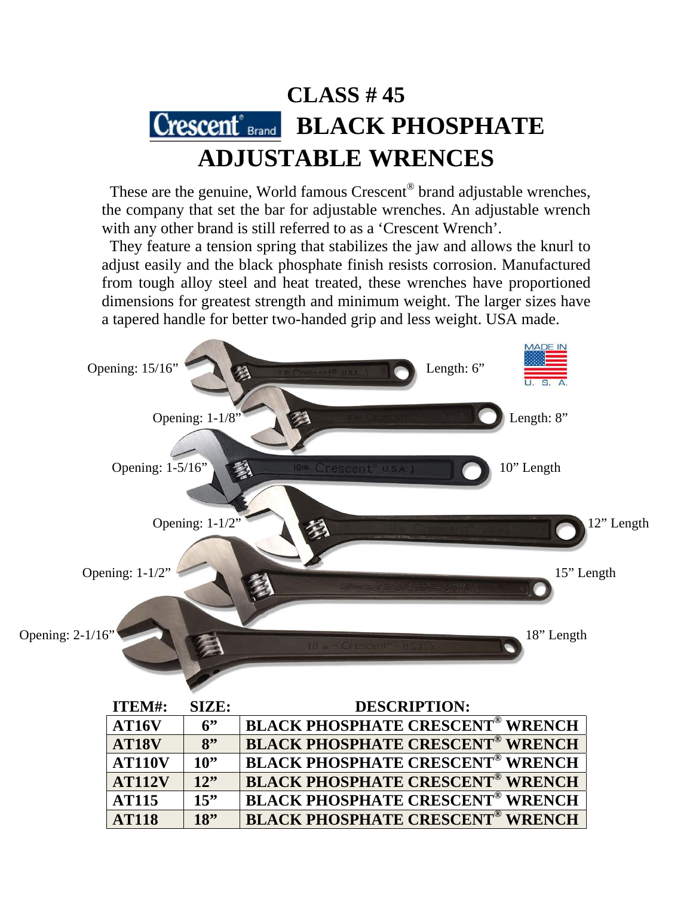## **CLASS # 45**  Crescent<sup>®</sup> Brand **BLACK PHOSPHATE ADJUSTABLE WRENCES**

These are the genuine, World famous Crescent® brand adjustable wrenches, the company that set the bar for adjustable wrenches. An adjustable wrench with any other brand is still referred to as a 'Crescent Wrench'.

 They feature a tension spring that stabilizes the jaw and allows the knurl to adjust easily and the black phosphate finish resists corrosion. Manufactured from tough alloy steel and heat treated, these wrenches have proportioned dimensions for greatest strength and minimum weight. The larger sizes have a tapered handle for better two-handed grip and less weight. USA made.



| ITEM#:            | SIZE: | <b>DESCRIPTION:</b>                                |
|-------------------|-------|----------------------------------------------------|
| AT16V             | 6     | <b>BLACK PHOSPHATE CRESCENT<sup>®</sup> WRENCH</b> |
| AT <sub>18V</sub> | 8"    | <b>BLACK PHOSPHATE CRESCENT<sup>®</sup> WRENCH</b> |
| <b>AT110V</b>     | 10"   | <b>BLACK PHOSPHATE CRESCENT<sup>®</sup> WRENCH</b> |
| <b>AT112V</b>     | 12"   | <b>BLACK PHOSPHATE CRESCENT<sup>®</sup> WRENCH</b> |
| <b>AT115</b>      | 15    | <b>BLACK PHOSPHATE CRESCENT<sup>®</sup> WRENCH</b> |
| <b>AT118</b>      | 18"   | <b>BLACK PHOSPHATE CRESCENT<sup>®</sup> WRENCH</b> |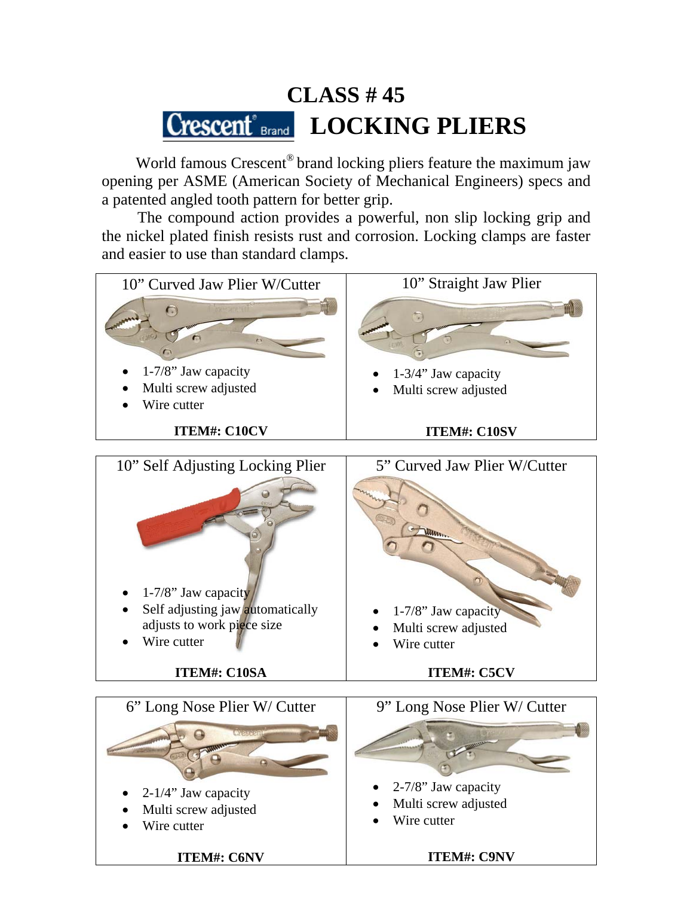## **CLASS # 45**  Crescent<sup>®</sup> Brand **LOCKING PLIERS**

 World famous Crescent® brand locking pliers feature the maximum jaw opening per ASME (American Society of Mechanical Engineers) specs and a patented angled tooth pattern for better grip.

 The compound action provides a powerful, non slip locking grip and the nickel plated finish resists rust and corrosion. Locking clamps are faster and easier to use than standard clamps.

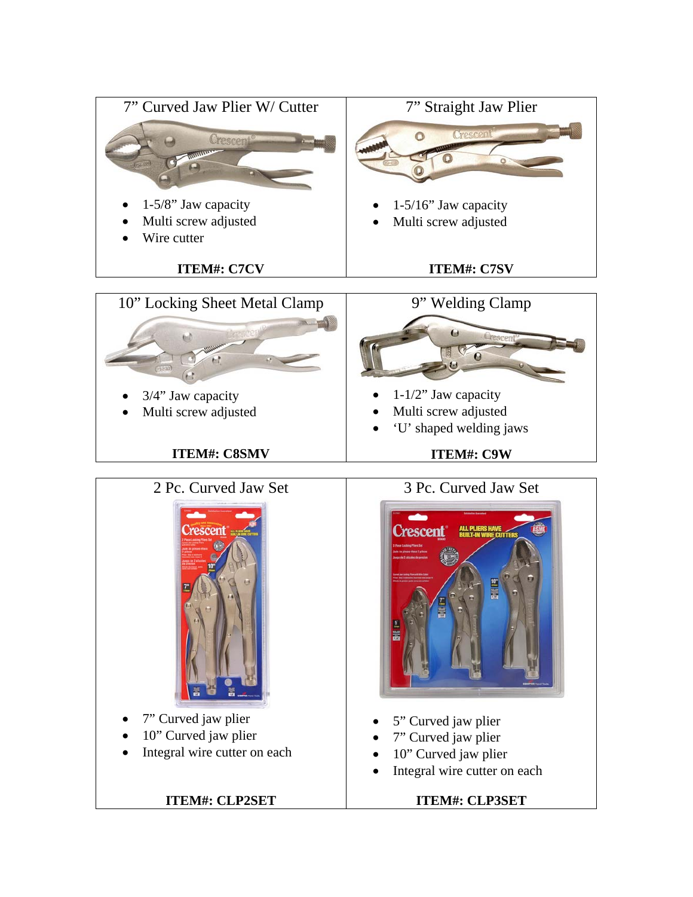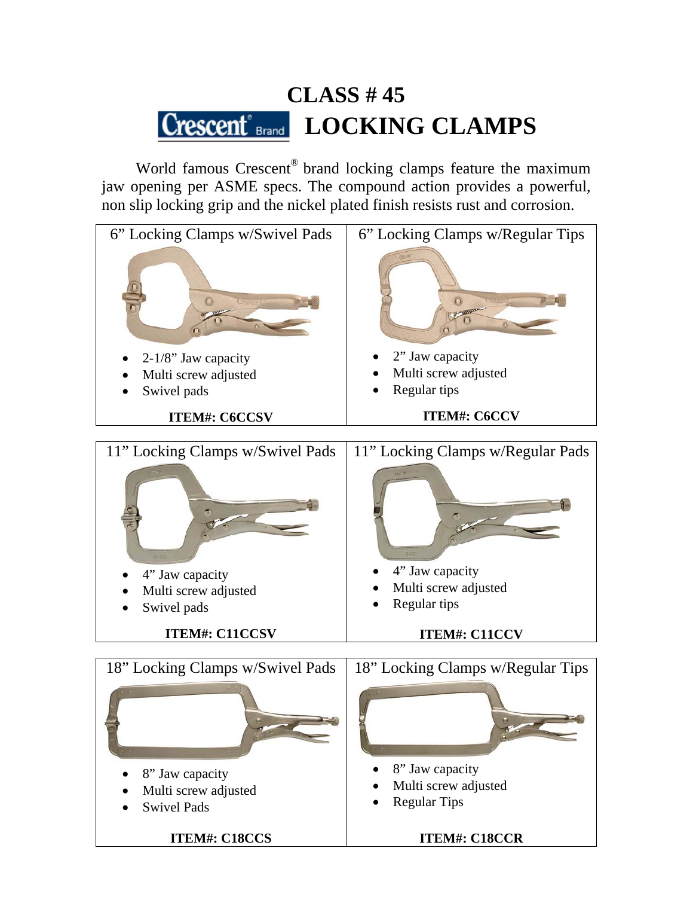# **CLASS # 45**  Crescent<sup>®</sup> Brand **LOCKING CLAMPS**

World famous Crescent<sup>®</sup> brand locking clamps feature the maximum jaw opening per ASME specs. The compound action provides a powerful, non slip locking grip and the nickel plated finish resists rust and corrosion.

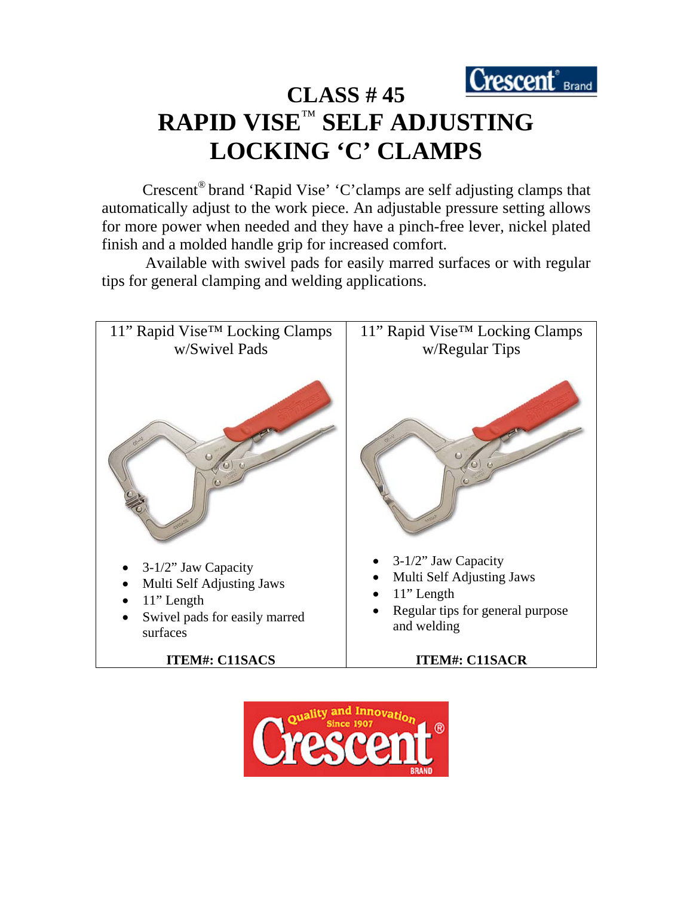

# **CLASS # 45 RAPID VISE**™ **SELF ADJUSTING LOCKING 'C' CLAMPS**

 Crescent® brand 'Rapid Vise' 'C'clamps are self adjusting clamps that automatically adjust to the work piece. An adjustable pressure setting allows for more power when needed and they have a pinch-free lever, nickel plated finish and a molded handle grip for increased comfort.

 Available with swivel pads for easily marred surfaces or with regular tips for general clamping and welding applications.



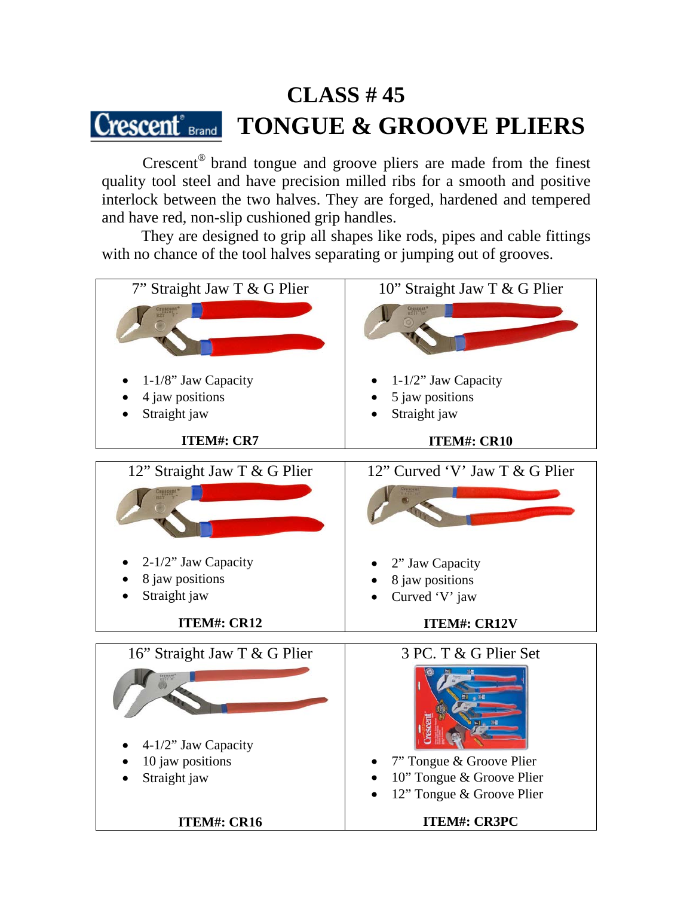### **CLASS # 45**  $\rm{C}$ rescent $\rm{^{\circ}}$ <sub>Brand</sub> **TONGUE & GROOVE PLIERS**

 Crescent® brand tongue and groove pliers are made from the finest quality tool steel and have precision milled ribs for a smooth and positive interlock between the two halves. They are forged, hardened and tempered and have red, non-slip cushioned grip handles.

 They are designed to grip all shapes like rods, pipes and cable fittings with no chance of the tool halves separating or jumping out of grooves.